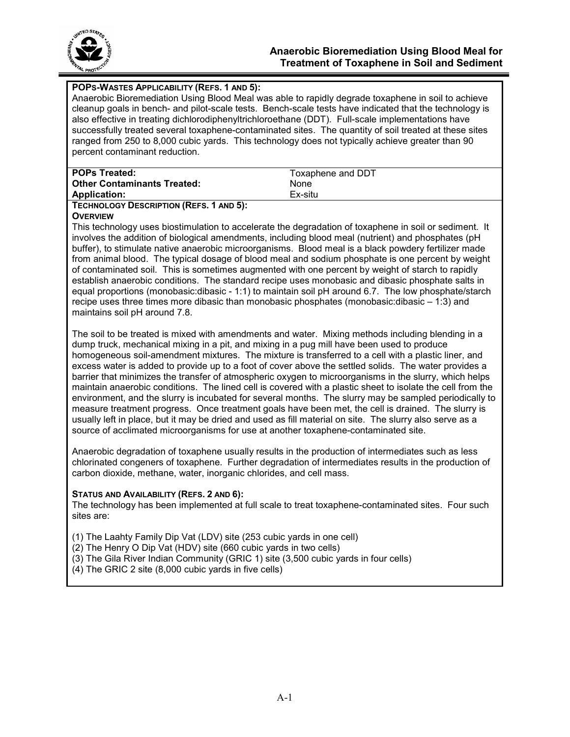

## **POPS-WASTES APPLICABILITY (REFS. 1 AND 5):**

Anaerobic Bioremediation Using Blood Meal was able to rapidly degrade toxaphene in soil to achieve cleanup goals in bench- and pilot-scale tests. Bench-scale tests have indicated that the technology is also effective in treating dichlorodiphenyltrichloroethane (DDT). Full-scale implementations have successfully treated several toxaphene-contaminated sites. The quantity of soil treated at these sites ranged from 250 to 8,000 cubic yards. This technology does not typically achieve greater than 90 percent contaminant reduction.

| <b>POPs Treated:</b>               | Toxaphene and DDT |
|------------------------------------|-------------------|
| <b>Other Contaminants Treated:</b> | <b>None</b>       |
| <b>Application:</b>                | Ex-situ           |

**TECHNOLOGY DESCRIPTION (REFS. 1 AND 5):** 

#### **OVERVIEW**

This technology uses biostimulation to accelerate the degradation of toxaphene in soil or sediment. It involves the addition of biological amendments, including blood meal (nutrient) and phosphates (pH buffer), to stimulate native anaerobic microorganisms. Blood meal is a black powdery fertilizer made from animal blood. The typical dosage of blood meal and sodium phosphate is one percent by weight of contaminated soil. This is sometimes augmented with one percent by weight of starch to rapidly establish anaerobic conditions. The standard recipe uses monobasic and dibasic phosphate salts in equal proportions (monobasic:dibasic - 1:1) to maintain soil pH around 6.7. The low phosphate/starch recipe uses three times more dibasic than monobasic phosphates (monobasic:dibasic – 1:3) and maintains soil pH around 7.8.

The soil to be treated is mixed with amendments and water. Mixing methods including blending in a dump truck, mechanical mixing in a pit, and mixing in a pug mill have been used to produce homogeneous soil-amendment mixtures. The mixture is transferred to a cell with a plastic liner, and excess water is added to provide up to a foot of cover above the settled solids. The water provides a barrier that minimizes the transfer of atmospheric oxygen to microorganisms in the slurry, which helps maintain anaerobic conditions. The lined cell is covered with a plastic sheet to isolate the cell from the environment, and the slurry is incubated for several months. The slurry may be sampled periodically to measure treatment progress. Once treatment goals have been met, the cell is drained. The slurry is usually left in place, but it may be dried and used as fill material on site. The slurry also serve as a source of acclimated microorganisms for use at another toxaphene-contaminated site.

Anaerobic degradation of toxaphene usually results in the production of intermediates such as less chlorinated congeners of toxaphene. Further degradation of intermediates results in the production of carbon dioxide, methane, water, inorganic chlorides, and cell mass.

## **STATUS AND AVAILABILITY (REFS. 2 AND 6):**

The technology has been implemented at full scale to treat toxaphene-contaminated sites. Four such sites are:

- (1) The Laahty Family Dip Vat (LDV) site (253 cubic yards in one cell)
- (2) The Henry O Dip Vat (HDV) site (660 cubic yards in two cells)
- (3) The Gila River Indian Community (GRIC 1) site (3,500 cubic yards in four cells)
- $(4)$  The GRIC 2 site  $(8,000)$  cubic vards in five cells)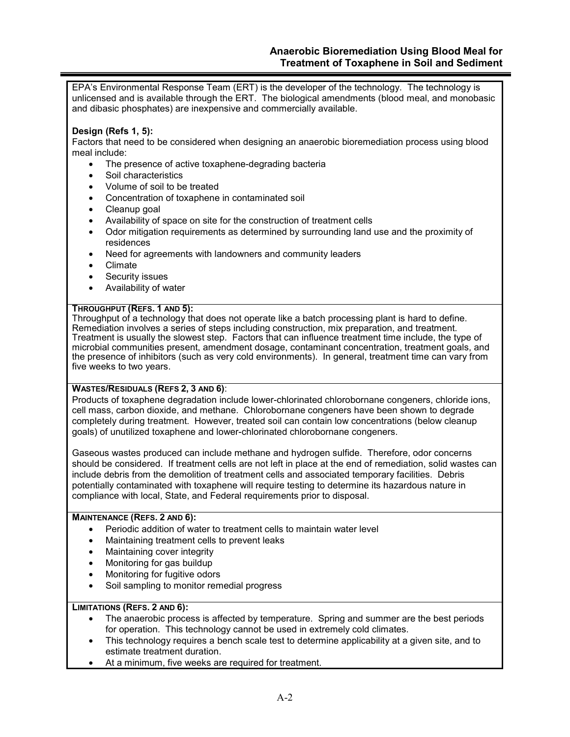EPA's Environmental Response Team (ERT) is the developer of the technology. The technology is unlicensed and is available through the ERT. The biological amendments (blood meal, and monobasic and dibasic phosphates) are inexpensive and commercially available.

# **Design (Refs 1, 5):**

Factors that need to be considered when designing an anaerobic bioremediation process using blood meal include:

- The presence of active toxaphene-degrading bacteria
- Soil characteristics
- Volume of soil to be treated
- Concentration of toxaphene in contaminated soil
- Cleanup goal
- Availability of space on site for the construction of treatment cells
- Odor mitigation requirements as determined by surrounding land use and the proximity of residences
- Need for agreements with landowners and community leaders
- Climate
- Security issues
- Availability of water

### **THROUGHPUT (REFS. 1 AND 5):**

Throughput of a technology that does not operate like a batch processing plant is hard to define. Remediation involves a series of steps including construction, mix preparation, and treatment. Treatment is usually the slowest step. Factors that can influence treatment time include, the type of microbial communities present, amendment dosage, contaminant concentration, treatment goals, and the presence of inhibitors (such as very cold environments). In general, treatment time can vary from five weeks to two years.

# **WASTES/RESIDUALS (REFS 2, 3 AND 6)**:

Products of toxaphene degradation include lower-chlorinated chlorobornane congeners, chloride ions, cell mass, carbon dioxide, and methane. Chlorobornane congeners have been shown to degrade completely during treatment. However, treated soil can contain low concentrations (below cleanup goals) of unutilized toxaphene and lower-chlorinated chlorobornane congeners.

Gaseous wastes produced can include methane and hydrogen sulfide. Therefore, odor concerns should be considered. If treatment cells are not left in place at the end of remediation, solid wastes can include debris from the demolition of treatment cells and associated temporary facilities. Debris potentially contaminated with toxaphene will require testing to determine its hazardous nature in compliance with local, State, and Federal requirements prior to disposal.

## **MAINTENANCE (REFS. 2 AND 6):**

- Periodic addition of water to treatment cells to maintain water level
- Maintaining treatment cells to prevent leaks
- Maintaining cover integrity
- Monitoring for gas buildup
- Monitoring for fugitive odors
- Soil sampling to monitor remedial progress

## **LIMITATIONS (REFS. 2 AND 6):**

- The anaerobic process is affected by temperature. Spring and summer are the best periods for operation. This technology cannot be used in extremely cold climates.
- This technology requires a bench scale test to determine applicability at a given site, and to estimate treatment duration.
- At a minimum, five weeks are required for treatment.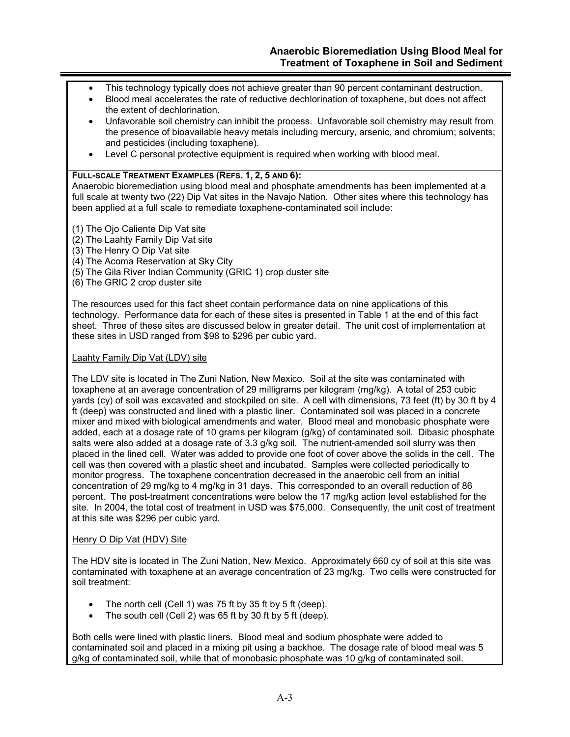- This technology typically does not achieve greater than 90 percent contaminant destruction.
- Blood meal accelerates the rate of reductive dechlorination of toxaphene, but does not affect the extent of dechlorination.
- Unfavorable soil chemistry can inhibit the process. Unfavorable soil chemistry may result from the presence of bioavailable heavy metals including mercury, arsenic, and chromium; solvents; and pesticides (including toxaphene).
- Level C personal protective equipment is required when working with blood meal.

### **FULL-SCALE TREATMENT EXAMPLES (REFS. 1, 2, 5 AND 6):**

Anaerobic bioremediation using blood meal and phosphate amendments has been implemented at a full scale at twenty two (22) Dip Vat sites in the Navajo Nation. Other sites where this technology has been applied at a full scale to remediate toxaphene-contaminated soil include:

- (1) The Ojo Caliente Dip Vat site
- (2) The Laahty Family Dip Vat site
- (3) The Henry O Dip Vat site
- (4) The Acoma Reservation at Sky City
- (5) The Gila River Indian Community (GRIC 1) crop duster site
- (6) The GRIC 2 crop duster site

The resources used for this fact sheet contain performance data on nine applications of this technology. Performance data for each of these sites is presented in Table 1 at the end of this fact sheet. Three of these sites are discussed below in greater detail. The unit cost of implementation at these sites in USD ranged from \$98 to \$296 per cubic yard.

## Laahty Family Dip Vat (LDV) site

The LDV site is located in The Zuni Nation, New Mexico. Soil at the site was contaminated with toxaphene at an average concentration of 29 milligrams per kilogram (mg/kg). A total of 253 cubic yards (cy) of soil was excavated and stockpiled on site. A cell with dimensions, 73 feet (ft) by 30 ft by 4 ft (deep) was constructed and lined with a plastic liner. Contaminated soil was placed in a concrete mixer and mixed with biological amendments and water. Blood meal and monobasic phosphate were added, each at a dosage rate of 10 grams per kilogram (g/kg) of contaminated soil. Dibasic phosphate salts were also added at a dosage rate of 3.3 g/kg soil. The nutrient-amended soil slurry was then placed in the lined cell. Water was added to provide one foot of cover above the solids in the cell. The cell was then covered with a plastic sheet and incubated. Samples were collected periodically to monitor progress. The toxaphene concentration decreased in the anaerobic cell from an initial concentration of 29 mg/kg to 4 mg/kg in 31 days. This corresponded to an overall reduction of 86 percent. The post-treatment concentrations were below the 17 mg/kg action level established for the site. In 2004, the total cost of treatment in USD was \$75,000. Consequently, the unit cost of treatment at this site was \$296 per cubic yard.

## Henry O Dip Vat (HDV) Site

The HDV site is located in The Zuni Nation, New Mexico. Approximately 660 cy of soil at this site was contaminated with toxaphene at an average concentration of 23 mg/kg. Two cells were constructed for soil treatment:

- The north cell (Cell 1) was 75 ft by 35 ft by 5 ft (deep).
- The south cell (Cell 2) was 65 ft by 30 ft by 5 ft (deep).

Both cells were lined with plastic liners. Blood meal and sodium phosphate were added to contaminated soil and placed in a mixing pit using a backhoe. The dosage rate of blood meal was 5 g/kg of contaminated soil, while that of monobasic phosphate was 10 g/kg of contaminated soil.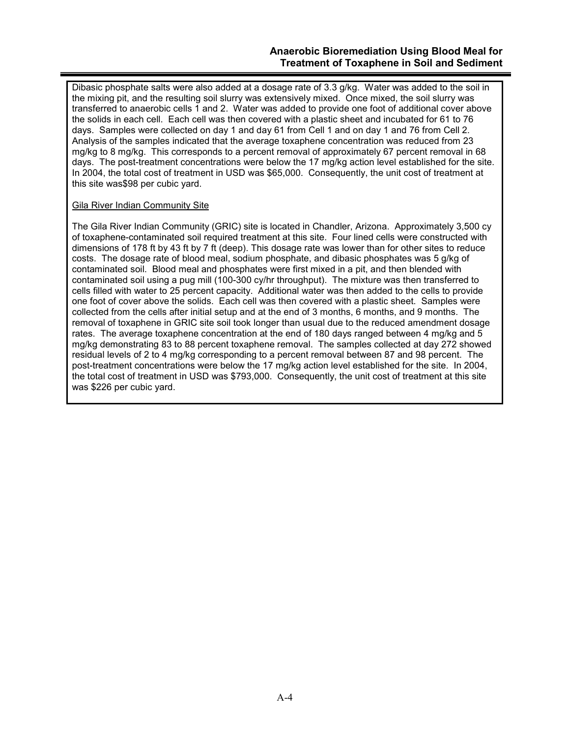Dibasic phosphate salts were also added at a dosage rate of 3.3 g/kg. Water was added to the soil in the mixing pit, and the resulting soil slurry was extensively mixed. Once mixed, the soil slurry was transferred to anaerobic cells 1 and 2. Water was added to provide one foot of additional cover above the solids in each cell. Each cell was then covered with a plastic sheet and incubated for 61 to 76 days. Samples were collected on day 1 and day 61 from Cell 1 and on day 1 and 76 from Cell 2. Analysis of the samples indicated that the average toxaphene concentration was reduced from 23 mg/kg to 8 mg/kg. This corresponds to a percent removal of approximately 67 percent removal in 68 days. The post-treatment concentrations were below the 17 mg/kg action level established for the site. In 2004, the total cost of treatment in USD was \$65,000. Consequently, the unit cost of treatment at this site was\$98 per cubic yard.

## Gila River Indian Community Site

The Gila River Indian Community (GRIC) site is located in Chandler, Arizona. Approximately 3,500 cy of toxaphene-contaminated soil required treatment at this site. Four lined cells were constructed with dimensions of 178 ft by 43 ft by 7 ft (deep). This dosage rate was lower than for other sites to reduce costs. The dosage rate of blood meal, sodium phosphate, and dibasic phosphates was 5 g/kg of contaminated soil. Blood meal and phosphates were first mixed in a pit, and then blended with contaminated soil using a pug mill (100-300 cy/hr throughput). The mixture was then transferred to cells filled with water to 25 percent capacity. Additional water was then added to the cells to provide one foot of cover above the solids. Each cell was then covered with a plastic sheet. Samples were collected from the cells after initial setup and at the end of 3 months, 6 months, and 9 months. The removal of toxaphene in GRIC site soil took longer than usual due to the reduced amendment dosage rates. The average toxaphene concentration at the end of 180 days ranged between 4 mg/kg and 5 mg/kg demonstrating 83 to 88 percent toxaphene removal. The samples collected at day 272 showed residual levels of 2 to 4 mg/kg corresponding to a percent removal between 87 and 98 percent. The post-treatment concentrations were below the 17 mg/kg action level established for the site. In 2004, the total cost of treatment in USD was \$793,000. Consequently, the unit cost of treatment at this site was \$226 per cubic yard.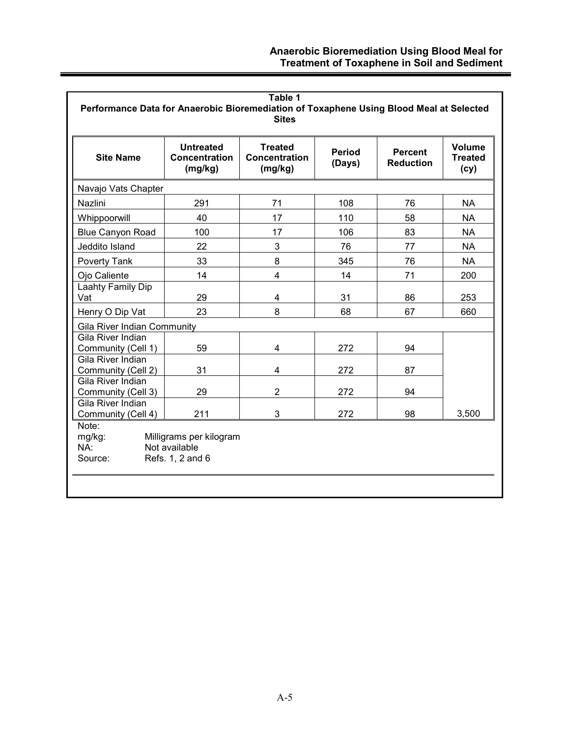| <b>Site Name</b>                                                                                   | <b>Untreated</b><br><b>Concentration</b><br>(mg/kg)          | <b>Treated</b><br><b>Concentration</b><br>(mg/kg) | <b>Period</b><br>(Days) | <b>Percent</b><br><b>Reduction</b> | <b>Volume</b><br><b>Treated</b><br>(cy) |
|----------------------------------------------------------------------------------------------------|--------------------------------------------------------------|---------------------------------------------------|-------------------------|------------------------------------|-----------------------------------------|
| Navajo Vats Chapter                                                                                |                                                              |                                                   |                         |                                    |                                         |
| Nazlini                                                                                            | 291                                                          | 71                                                | 108                     | 76                                 | <b>NA</b>                               |
| Whippoorwill                                                                                       | 40                                                           | 17                                                | 110                     | 58                                 | <b>NA</b>                               |
| <b>Blue Canyon Road</b>                                                                            | 100                                                          | 17                                                | 106                     | 83                                 | <b>NA</b>                               |
| Jeddito Island                                                                                     | 22                                                           | 3                                                 | 76                      | 77                                 | <b>NA</b>                               |
| Poverty Tank                                                                                       | 33                                                           | 8                                                 | 345                     | 76                                 | <b>NA</b>                               |
| Ojo Caliente                                                                                       | 14                                                           | $\overline{4}$                                    | 14                      | 71                                 | 200                                     |
| Laahty Family Dip<br>Vat                                                                           | 29                                                           | 4                                                 | 31                      | 86                                 | 253                                     |
| Henry O Dip Vat                                                                                    | 23                                                           | 8                                                 | 68                      | 67                                 | 660                                     |
| <b>Gila River Indian Community</b>                                                                 |                                                              |                                                   |                         |                                    |                                         |
| Gila River Indian<br>Community (Cell 1)                                                            | 59                                                           | 4                                                 | 272                     | 94                                 |                                         |
| Gila River Indian<br>Community (Cell 2)                                                            | 31                                                           | 4                                                 | 272                     | 87                                 |                                         |
| Gila River Indian                                                                                  | 29                                                           | $\overline{2}$                                    | 272                     | 94                                 |                                         |
|                                                                                                    | 211                                                          | 3                                                 | 272                     | 98                                 | 3,500                                   |
| Community (Cell 3)<br>Gila River Indian<br>Community (Cell 4)<br>Note:<br>mg/kg:<br>NA:<br>Source: | Milligrams per kilogram<br>Not available<br>Refs. 1, 2 and 6 |                                                   |                         |                                    |                                         |